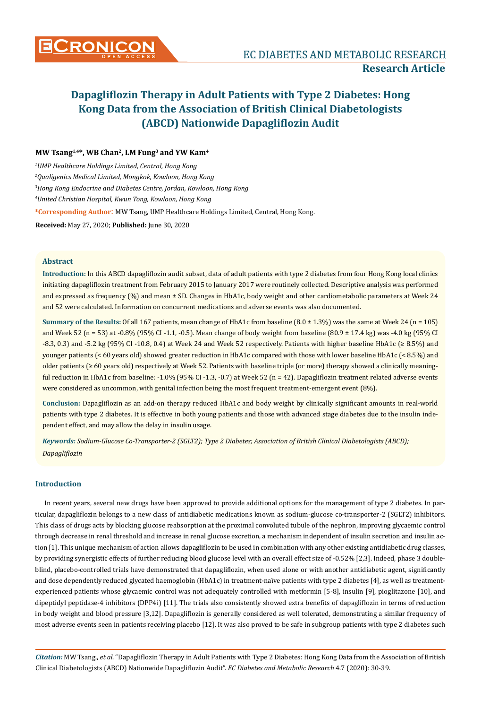## **MW Tsang1,4\*, WB Chan2, LM Fung3 and YW Kam4**

 *UMP Healthcare Holdings Limited, Central, Hong Kong Qualigenics Medical Limited, Mongkok, Kowloon, Hong Kong Hong Kong Endocrine and Diabetes Centre, Jordan, Kowloon, Hong Kong United Christian Hospital, Kwun Tong, Kowloon, Hong Kong* **\*Corresponding Author**: MW Tsang, UMP Healthcare Holdings Limited, Central, Hong Kong. **Received:** May 27, 2020; **Published:** June 30, 2020

## **Abstract**

**Introduction:** In this ABCD dapagliflozin audit subset, data of adult patients with type 2 diabetes from four Hong Kong local clinics initiating dapagliflozin treatment from February 2015 to January 2017 were routinely collected. Descriptive analysis was performed and expressed as frequency (%) and mean ± SD. Changes in HbA1c, body weight and other cardiometabolic parameters at Week 24 and 52 were calculated. Information on concurrent medications and adverse events was also documented.

**Summary of the Results:** Of all 167 patients, mean change of HbA1c from baseline (8.0 ± 1.3%) was the same at Week 24 (n = 105) and Week 52 (n = 53) at -0.8% (95% CI -1.1, -0.5). Mean change of body weight from baseline (80.9 ± 17.4 kg) was -4.0 kg (95% CI -8.3, 0.3) and -5.2 kg (95% CI -10.8, 0.4) at Week 24 and Week 52 respectively. Patients with higher baseline HbA1c (≥ 8.5%) and younger patients (< 60 years old) showed greater reduction in HbA1c compared with those with lower baseline HbA1c (< 8.5%) and older patients (≥ 60 years old) respectively at Week 52. Patients with baseline triple (or more) therapy showed a clinically meaningful reduction in HbA1c from baseline: -1.0% (95% CI -1.3, -0.7) at Week 52 (n = 42). Dapagliflozin treatment related adverse events were considered as uncommon, with genital infection being the most frequent treatment-emergent event (8%).

**Conclusion:** Dapagliflozin as an add-on therapy reduced HbA1c and body weight by clinically significant amounts in real-world patients with type 2 diabetes. It is effective in both young patients and those with advanced stage diabetes due to the insulin independent effect, and may allow the delay in insulin usage.

*Keywords: Sodium-Glucose Co-Transporter-2 (SGLT2); Type 2 Diabetes; Association of British Clinical Diabetologists (ABCD); Dapagliflozin*

## **Introduction**

In recent years, several new drugs have been approved to provide additional options for the management of type 2 diabetes. In particular, dapagliflozin belongs to a new class of antidiabetic medications known as sodium-glucose co-transporter-2 (SGLT2) inhibitors. This class of drugs acts by blocking glucose reabsorption at the proximal convoluted tubule of the nephron, improving glycaemic control through decrease in renal threshold and increase in renal glucose excretion, a mechanism independent of insulin secretion and insulin action [1]. This unique mechanism of action allows dapagliflozin to be used in combination with any other existing antidiabetic drug classes, by providing synergistic effects of further reducing blood glucose level with an overall effect size of -0.52% [2,3]. Indeed, phase 3 doubleblind, placebo-controlled trials have demonstrated that dapagliflozin, when used alone or with another antidiabetic agent, significantly and dose dependently reduced glycated haemoglobin (HbA1c) in treatment-naïve patients with type 2 diabetes [4], as well as treatmentexperienced patients whose glycaemic control was not adequately controlled with metformin [5-8], insulin [9], pioglitazone [10], and dipeptidyl peptidase-4 inhibitors (DPP4i) [11]. The trials also consistently showed extra benefits of dapagliflozin in terms of reduction in body weight and blood pressure [3,12]. Dapagliflozin is generally considered as well tolerated, demonstrating a similar frequency of most adverse events seen in patients receiving placebo [12]. It was also proved to be safe in subgroup patients with type 2 diabetes such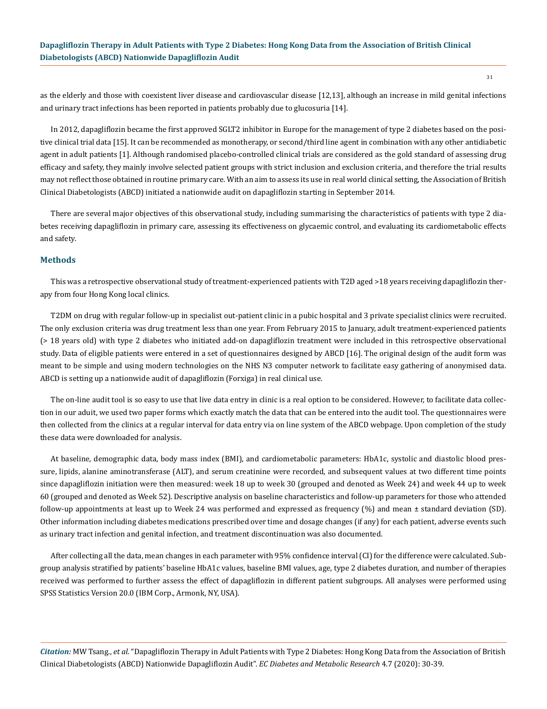as the elderly and those with coexistent liver disease and cardiovascular disease [12,13], although an increase in mild genital infections and urinary tract infections has been reported in patients probably due to glucosuria [14].

In 2012, dapagliflozin became the first approved SGLT2 inhibitor in Europe for the management of type 2 diabetes based on the positive clinical trial data [15]. It can be recommended as monotherapy, or second/third line agent in combination with any other antidiabetic agent in adult patients [1]. Although randomised placebo-controlled clinical trials are considered as the gold standard of assessing drug efficacy and safety, they mainly involve selected patient groups with strict inclusion and exclusion criteria, and therefore the trial results may not reflect those obtained in routine primary care. With an aim to assess its use in real world clinical setting, the Association of British Clinical Diabetologists (ABCD) initiated a nationwide audit on dapagliflozin starting in September 2014.

There are several major objectives of this observational study, including summarising the characteristics of patients with type 2 diabetes receiving dapagliflozin in primary care, assessing its effectiveness on glycaemic control, and evaluating its cardiometabolic effects and safety.

#### **Methods**

This was a retrospective observational study of treatment-experienced patients with T2D aged >18 years receiving dapagliflozin therapy from four Hong Kong local clinics.

T2DM on drug with regular follow-up in specialist out-patient clinic in a pubic hospital and 3 private specialist clinics were recruited. The only exclusion criteria was drug treatment less than one year. From February 2015 to January, adult treatment-experienced patients (> 18 years old) with type 2 diabetes who initiated add-on dapagliflozin treatment were included in this retrospective observational study. Data of eligible patients were entered in a set of questionnaires designed by ABCD [16]. The original design of the audit form was meant to be simple and using modern technologies on the NHS N3 computer network to facilitate easy gathering of anonymised data. ABCD is setting up a nationwide audit of dapagliflozin (Forxiga) in real clinical use.

The on-line audit tool is so easy to use that live data entry in clinic is a real option to be considered. However, to facilitate data collection in our aduit, we used two paper forms which exactly match the data that can be entered into the audit tool. The questionnaires were then collected from the clinics at a regular interval for data entry via on line system of the ABCD webpage. Upon completion of the study these data were downloaded for analysis.

At baseline, demographic data, body mass index (BMI), and cardiometabolic parameters: HbA1c, systolic and diastolic blood pressure, lipids, alanine aminotransferase (ALT), and serum creatinine were recorded, and subsequent values at two different time points since dapagliflozin initiation were then measured: week 18 up to week 30 (grouped and denoted as Week 24) and week 44 up to week 60 (grouped and denoted as Week 52). Descriptive analysis on baseline characteristics and follow-up parameters for those who attended follow-up appointments at least up to Week 24 was performed and expressed as frequency (%) and mean ± standard deviation (SD). Other information including diabetes medications prescribed over time and dosage changes (if any) for each patient, adverse events such as urinary tract infection and genital infection, and treatment discontinuation was also documented.

After collecting all the data, mean changes in each parameter with 95% confidence interval (CI) for the difference were calculated. Subgroup analysis stratified by patients' baseline HbA1c values, baseline BMI values, age, type 2 diabetes duration, and number of therapies received was performed to further assess the effect of dapagliflozin in different patient subgroups. All analyses were performed using SPSS Statistics Version 20.0 (IBM Corp., Armonk, NY, USA).

*Citation:* MW Tsang., *et al*. "Dapagliflozin Therapy in Adult Patients with Type 2 Diabetes: Hong Kong Data from the Association of British Clinical Diabetologists (ABCD) Nationwide Dapagliflozin Audit". *EC Diabetes and Metabolic Research* 4.7 (2020): 30-39.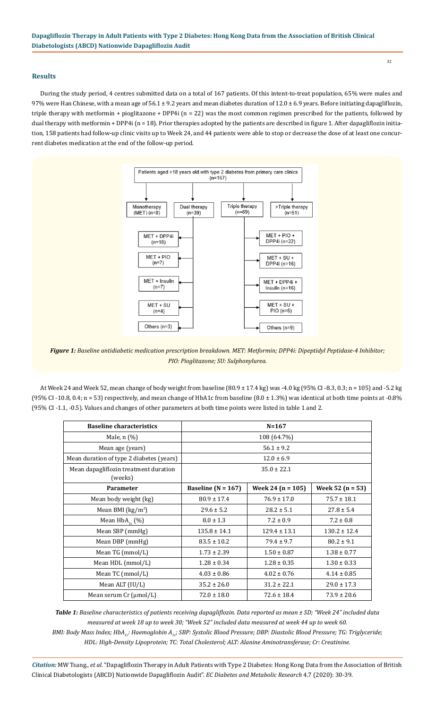## **Results**

During the study period, 4 centres submitted data on a total of 167 patients. Of this intent-to-treat population, 65% were males and 97% were Han Chinese, with a mean age of 56.1 ± 9.2 years and mean diabetes duration of  $12.0 \pm 6.9$  years. Before initiating dapagliflozin, triple therapy with metformin + pioglitazone + DPP4i (n = 22) was the most common regimen prescribed for the patients, followed by dual therapy with metformin + DPP4i ( $n = 18$ ). Prior therapies adopted by the patients are described in figure 1. After dapagliflozin initiation, 158 patients had follow-up clinic visits up to Week 24, and 44 patients were able to stop or decrease the dose of at least one concurrent diabetes medication at the end of the follow-up period.



*Figure 1: Baseline antidiabetic medication prescription breakdown. MET: Metformin; DPP4i: Dipeptidyl Peptidase-4 Inhibitor; PIO: Pioglitazone; SU: Sulphonylurea.*

At Week 24 and Week 52, mean change of body weight from baseline (80.9 ± 17.4 kg) was -4.0 kg (95% CI -8.3, 0.3; n = 105) and -5.2 kg (95% CI -10.8, 0.4; n = 53) respectively, and mean change of HbA1c from baseline (8.0 ± 1.3%) was identical at both time points at -0.8% (95% CI -1.1, -0.5). Values and changes of other parameters at both time points were listed in table 1 and 2.

| <b>Baseline characteristics</b>                  |                        | $N = 167$             |                      |
|--------------------------------------------------|------------------------|-----------------------|----------------------|
| Male, $n$ $(\%)$                                 | 108 (64.7%)            |                       |                      |
| Mean age (years)                                 | $56.1 \pm 9.2$         |                       |                      |
| Mean duration of type 2 diabetes (years)         | $12.0 \pm 6.9$         |                       |                      |
| Mean dapagliflozin treatment duration<br>(weeks) | $35.0 \pm 22.1$        |                       |                      |
| <b>Parameter</b>                                 | Baseline ( $N = 167$ ) | Week 24 ( $n = 105$ ) | Week 52 ( $n = 53$ ) |
| Mean body weight (kg)                            | $80.9 \pm 17.4$        | $76.9 \pm 17.0$       | $75.7 \pm 18.1$      |
| Mean BMI ( $\text{kg/m}^2$ )                     | $29.6 \pm 5.2$         | $28.2 \pm 5.1$        | $27.8 \pm 5.4$       |
| Mean $HbA_{1c}$ (%)                              | $8.0 \pm 1.3$          | $7.2 \pm 0.9$         | $7.2 \pm 0.8$        |
| Mean SBP (mmHg)                                  | $135.8 \pm 14.1$       | $129.4 \pm 13.1$      | $130.2 \pm 12.4$     |
| Mean DBP (mmHg)                                  | $83.5 \pm 10.2$        | $79.4 \pm 9.7$        | $80.2 \pm 9.1$       |
| Mean TG (mmol/L)                                 | $1.73 \pm 2.39$        | $1.50 \pm 0.87$       | $1.38 \pm 0.77$      |
| Mean HDL (mmol/L)                                | $1.28 \pm 0.34$        | $1.28 \pm 0.35$       | $1.30 \pm 0.33$      |
| Mean TC (mmol/L)                                 | $4.03 \pm 0.86$        | $4.02 \pm 0.76$       | $4.14 \pm 0.85$      |
| Mean ALT (IU/L)                                  | $35.2 \pm 26.0$        | $31.2 \pm 22.1$       | $29.0 \pm 17.3$      |
| Mean serum $Cr$ ( $\mu$ mol/L)                   | $72.0 \pm 18.0$        | $72.6 \pm 18.4$       | $73.9 \pm 20.6$      |

*Table 1: Baseline characteristics of patients receiving dapagliflozin. Data reported as mean ± SD; "Week 24" included data measured at week 18 up to week 30; "Week 52" included data measured at week 44 up to week 60. BMI: Body Mass Index; HbA<sub>1c</sub>: Haemoglobin A<sub>1s</sub>; SBP: Systolic Blood Pressure; DBP: Diastolic Blood Pressure; TG: Triglyceride; HDL: High-Density Lipoprotein; TC: Total Cholesterol; ALT: Alanine Aminotransferase; Cr: Creatinine.*

*Citation:* MW Tsang., *et al*. "Dapagliflozin Therapy in Adult Patients with Type 2 Diabetes: Hong Kong Data from the Association of British Clinical Diabetologists (ABCD) Nationwide Dapagliflozin Audit". *EC Diabetes and Metabolic Research* 4.7 (2020): 30-39.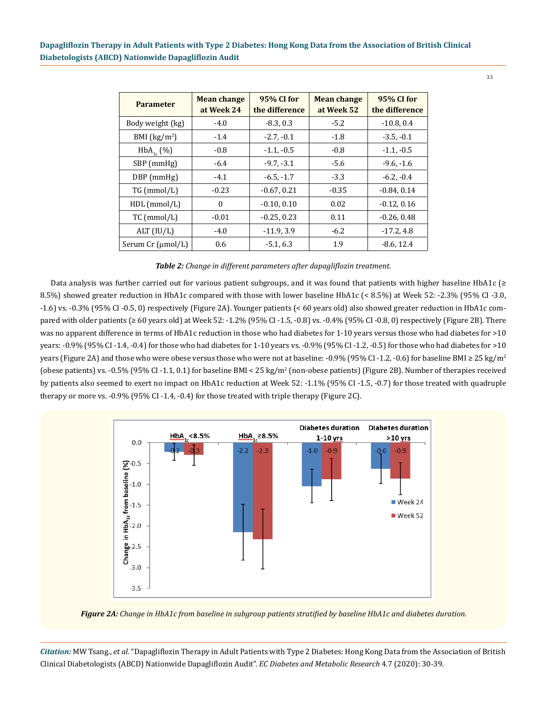| <b>Parameter</b>  | <b>Mean change</b><br>at Week 24 | 95% CI for<br>the difference | <b>Mean change</b><br>at Week 52 | 95% CI for<br>the difference |
|-------------------|----------------------------------|------------------------------|----------------------------------|------------------------------|
| Body weight (kg)  | $-4.0$                           | $-8.3, 0.3$                  | $-5.2$                           | $-10.8, 0.4$                 |
| BMI $(kg/m2)$     | $-1.4$                           | $-2.7, -0.1$                 | $-1.8$                           | $-3.5, -0.1$                 |
| $HbA_{1c}$ (%)    | $-0.8$                           | $-1.1, -0.5$                 | $-0.8$                           | $-1.1, -0.5$                 |
| SBP (mmHg)        | $-6.4$                           | $-9.7, -3.1$                 | $-5.6$                           | $-9.6, -1.6$                 |
| $DBP$ (mmHg)      | $-4.1$                           | $-6.5, -1.7$                 | $-3.3$                           | $-6.2, -0.4$                 |
| TG (mmol/L)       | $-0.23$                          | $-0.67, 0.21$                | $-0.35$                          | $-0.84, 0.14$                |
| $HDL$ (mmol/L)    | $\theta$                         | $-0.10, 0.10$                | 0.02                             | $-0.12, 0.16$                |
| TC (mmol/L)       | $-0.01$                          | $-0.25, 0.23$                | 0.11                             | $-0.26, 0.48$                |
| ALT (IU/L)        | $-4.0$                           | $-11.9, 3.9$                 | $-6.2$                           | $-17.2, 4.8$                 |
| Serum Cr (µmol/L) | 0.6                              | $-5.1, 6.3$                  | 1.9                              | $-8.6, 12.4$                 |

*Table 2: Change in different parameters after dapagliflozin treatment.*

Data analysis was further carried out for various patient subgroups, and it was found that patients with higher baseline HbA1c (≥ 8.5%) showed greater reduction in HbA1c compared with those with lower baseline HbA1c (< 8.5%) at Week 52: -2.3% (95% CI -3.0, -1.6) vs. -0.3% (95% CI -0.5, 0) respectively (Figure 2A). Younger patients (< 60 years old) also showed greater reduction in HbA1c compared with older patients ( $\geq 60$  years old) at Week 52: -1.2% (95% CI -1.5, -0.8) vs. -0.4% (95% CI -0.8, 0) respectively (Figure 2B). There was no apparent difference in terms of HbA1c reduction in those who had diabetes for 1-10 years versus those who had diabetes for >10 years: -0.9% (95% CI -1.4, -0.4) for those who had diabetes for 1-10 years vs. -0.9% (95% CI -1.2, -0.5) for those who had diabetes for >10 years (Figure 2A) and those who were obese versus those who were not at baseline: -0.9% (95% CI -1.2, -0.6) for baseline BMI  $\geq 25 \text{ kg/m}^2$ (obese patients) vs. -0.5% (95% CI -1.1, 0.1) for baseline BMI < 25 kg/m<sup>2</sup> (non-obese patients) (Figure 2B). Number of therapies received by patients also seemed to exert no impact on HbA1c reduction at Week 52: -1.1% (95% CI -1.5, -0.7) for those treated with quadruple therapy or more vs. -0.9% (95% CI -1.4, -0.4) for those treated with triple therapy (Figure 2C).





*Citation:* MW Tsang., *et al*. "Dapagliflozin Therapy in Adult Patients with Type 2 Diabetes: Hong Kong Data from the Association of British Clinical Diabetologists (ABCD) Nationwide Dapagliflozin Audit". *EC Diabetes and Metabolic Research* 4.7 (2020): 30-39.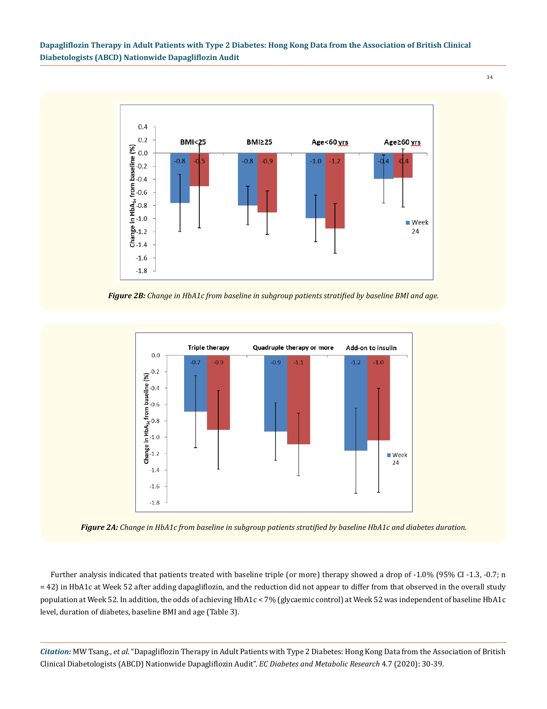34



*Figure 2B: Change in HbA1c from baseline in subgroup patients stratified by baseline BMI and age.*



*Figure 2A: Change in HbA1c from baseline in subgroup patients stratified by baseline HbA1c and diabetes duration.*

Further analysis indicated that patients treated with baseline triple (or more) therapy showed a drop of -1.0% (95% CI -1.3, -0.7; n = 42) in HbA1c at Week 52 after adding dapagliflozin, and the reduction did not appear to differ from that observed in the overall study population at Week 52. In addition, the odds of achieving HbA1c < 7% (glycaemic control) at Week 52 was independent of baseline HbA1c level, duration of diabetes, baseline BMI and age (Table 3).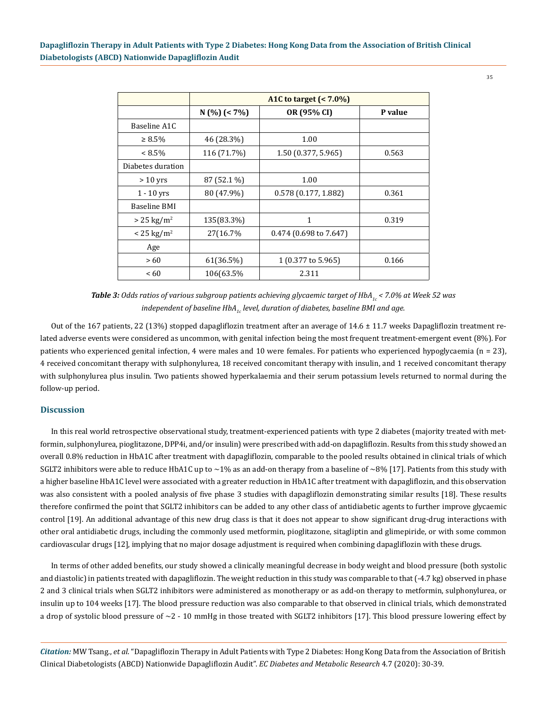|                       | A1C to target (< 7.0%) |                          |         |  |  |
|-----------------------|------------------------|--------------------------|---------|--|--|
|                       | $N$ (%) (< 7%)         | OR (95% CI)              | P value |  |  |
| Baseline A1C          |                        |                          |         |  |  |
| $\geq 8.5\%$          | 46 (28.3%)             | 1.00                     |         |  |  |
| $< 8.5\%$             | 116 (71.7%)            | 1.50(0.377, 5.965)       | 0.563   |  |  |
| Diabetes duration     |                        |                          |         |  |  |
| $> 10$ yrs            | 87 (52.1 %)            | 1.00                     |         |  |  |
| $1 - 10$ yrs          | 80 (47.9%)             | 0.578(0.177, 1.882)      | 0.361   |  |  |
| <b>Baseline BMI</b>   |                        |                          |         |  |  |
| $> 25 \text{ kg/m}^2$ | 135(83.3%)             | 1                        | 0.319   |  |  |
| $< 25 \text{ kg/m}^2$ | 27(16.7%)              | $0.474$ (0.698 to 7.647) |         |  |  |
| Age                   |                        |                          |         |  |  |
| >60                   | 61(36.5%)              | 1 (0.377 to 5.965)       | 0.166   |  |  |
| <60                   | 106(63.5%              | 2.311                    |         |  |  |

*Table 3:* Odds ratios of various subgroup patients achieving glycaemic target of HbA<sub>1c</sub> < 7.0% at Week 52 was *independent of baseline HbA<sub>1c</sub> level, duration of diabetes, baseline BMI and age.* 

Out of the 167 patients, 22 (13%) stopped dapagliflozin treatment after an average of 14.6 ± 11.7 weeks Dapagliflozin treatment related adverse events were considered as uncommon, with genital infection being the most frequent treatment-emergent event (8%). For patients who experienced genital infection, 4 were males and 10 were females. For patients who experienced hypoglycaemia (n = 23), 4 received concomitant therapy with sulphonylurea, 18 received concomitant therapy with insulin, and 1 received concomitant therapy with sulphonylurea plus insulin. Two patients showed hyperkalaemia and their serum potassium levels returned to normal during the follow-up period.

#### **Discussion**

In this real world retrospective observational study, treatment-experienced patients with type 2 diabetes (majority treated with metformin, sulphonylurea, pioglitazone, DPP4i, and/or insulin) were prescribed with add-on dapagliflozin. Results from this study showed an overall 0.8% reduction in HbA1C after treatment with dapagliflozin, comparable to the pooled results obtained in clinical trials of which SGLT2 inhibitors were able to reduce HbA1C up to  $\sim$ 1% as an add-on therapy from a baseline of  $\sim$ 8% [17]. Patients from this study with a higher baseline HbA1C level were associated with a greater reduction in HbA1C after treatment with dapagliflozin, and this observation was also consistent with a pooled analysis of five phase 3 studies with dapagliflozin demonstrating similar results [18]. These results therefore confirmed the point that SGLT2 inhibitors can be added to any other class of antidiabetic agents to further improve glycaemic control [19]. An additional advantage of this new drug class is that it does not appear to show significant drug-drug interactions with other oral antidiabetic drugs, including the commonly used metformin, pioglitazone, sitagliptin and glimepiride, or with some common cardiovascular drugs [12], implying that no major dosage adjustment is required when combining dapagliflozin with these drugs.

In terms of other added benefits, our study showed a clinically meaningful decrease in body weight and blood pressure (both systolic and diastolic) in patients treated with dapagliflozin. The weight reduction in this study was comparable to that (-4.7 kg) observed in phase 2 and 3 clinical trials when SGLT2 inhibitors were administered as monotherapy or as add-on therapy to metformin, sulphonylurea, or insulin up to 104 weeks [17]. The blood pressure reduction was also comparable to that observed in clinical trials, which demonstrated a drop of systolic blood pressure of  $\sim$ 2 - 10 mmHg in those treated with SGLT2 inhibitors [17]. This blood pressure lowering effect by

*Citation:* MW Tsang., *et al*. "Dapagliflozin Therapy in Adult Patients with Type 2 Diabetes: Hong Kong Data from the Association of British Clinical Diabetologists (ABCD) Nationwide Dapagliflozin Audit". *EC Diabetes and Metabolic Research* 4.7 (2020): 30-39.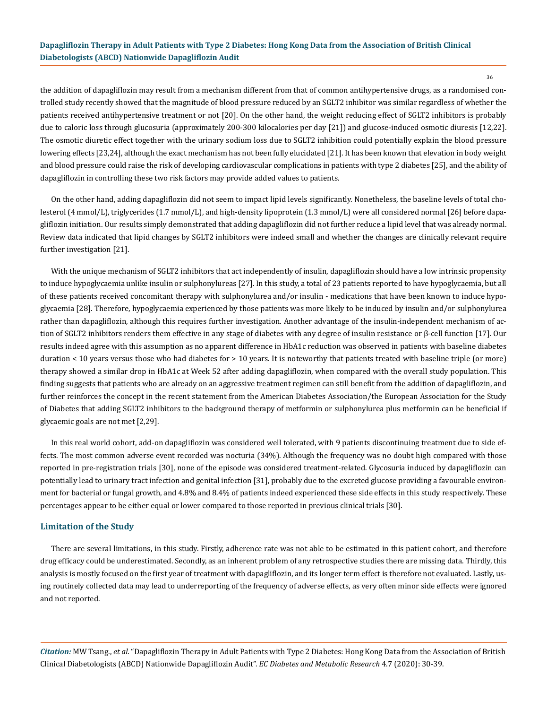the addition of dapagliflozin may result from a mechanism different from that of common antihypertensive drugs, as a randomised controlled study recently showed that the magnitude of blood pressure reduced by an SGLT2 inhibitor was similar regardless of whether the patients received antihypertensive treatment or not [20]. On the other hand, the weight reducing effect of SGLT2 inhibitors is probably due to caloric loss through glucosuria (approximately 200-300 kilocalories per day [21]) and glucose-induced osmotic diuresis [12,22]. The osmotic diuretic effect together with the urinary sodium loss due to SGLT2 inhibition could potentially explain the blood pressure lowering effects [23,24], although the exact mechanism has not been fully elucidated [21]. It has been known that elevation in body weight and blood pressure could raise the risk of developing cardiovascular complications in patients with type 2 diabetes [25], and the ability of dapagliflozin in controlling these two risk factors may provide added values to patients.

On the other hand, adding dapagliflozin did not seem to impact lipid levels significantly. Nonetheless, the baseline levels of total cholesterol (4 mmol/L), triglycerides (1.7 mmol/L), and high-density lipoprotein (1.3 mmol/L) were all considered normal [26] before dapagliflozin initiation. Our results simply demonstrated that adding dapagliflozin did not further reduce a lipid level that was already normal. Review data indicated that lipid changes by SGLT2 inhibitors were indeed small and whether the changes are clinically relevant require further investigation [21].

With the unique mechanism of SGLT2 inhibitors that act independently of insulin, dapagliflozin should have a low intrinsic propensity to induce hypoglycaemia unlike insulin or sulphonylureas [27]. In this study, a total of 23 patients reported to have hypoglycaemia, but all of these patients received concomitant therapy with sulphonylurea and/or insulin - medications that have been known to induce hypoglycaemia [28]. Therefore, hypoglycaemia experienced by those patients was more likely to be induced by insulin and/or sulphonylurea rather than dapagliflozin, although this requires further investigation. Another advantage of the insulin-independent mechanism of action of SGLT2 inhibitors renders them effective in any stage of diabetes with any degree of insulin resistance or β-cell function [17]. Our results indeed agree with this assumption as no apparent difference in HbA1c reduction was observed in patients with baseline diabetes duration < 10 years versus those who had diabetes for > 10 years. It is noteworthy that patients treated with baseline triple (or more) therapy showed a similar drop in HbA1c at Week 52 after adding dapagliflozin, when compared with the overall study population. This finding suggests that patients who are already on an aggressive treatment regimen can still benefit from the addition of dapagliflozin, and further reinforces the concept in the recent statement from the American Diabetes Association/the European Association for the Study of Diabetes that adding SGLT2 inhibitors to the background therapy of metformin or sulphonylurea plus metformin can be beneficial if glycaemic goals are not met [2,29].

In this real world cohort, add-on dapagliflozin was considered well tolerated, with 9 patients discontinuing treatment due to side effects. The most common adverse event recorded was nocturia (34%). Although the frequency was no doubt high compared with those reported in pre-registration trials [30], none of the episode was considered treatment-related. Glycosuria induced by dapagliflozin can potentially lead to urinary tract infection and genital infection [31], probably due to the excreted glucose providing a favourable environment for bacterial or fungal growth, and 4.8% and 8.4% of patients indeed experienced these side effects in this study respectively. These percentages appear to be either equal or lower compared to those reported in previous clinical trials [30].

#### **Limitation of the Study**

There are several limitations, in this study. Firstly, adherence rate was not able to be estimated in this patient cohort, and therefore drug efficacy could be underestimated. Secondly, as an inherent problem of any retrospective studies there are missing data. Thirdly, this analysis is mostly focused on the first year of treatment with dapagliflozin, and its longer term effect is therefore not evaluated. Lastly, using routinely collected data may lead to underreporting of the frequency of adverse effects, as very often minor side effects were ignored and not reported.

*Citation:* MW Tsang., *et al*. "Dapagliflozin Therapy in Adult Patients with Type 2 Diabetes: Hong Kong Data from the Association of British Clinical Diabetologists (ABCD) Nationwide Dapagliflozin Audit". *EC Diabetes and Metabolic Research* 4.7 (2020): 30-39.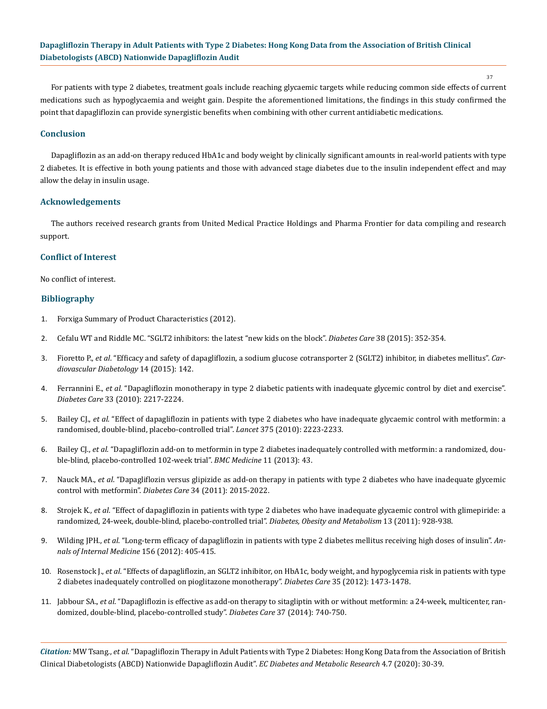37

For patients with type 2 diabetes, treatment goals include reaching glycaemic targets while reducing common side effects of current medications such as hypoglycaemia and weight gain. Despite the aforementioned limitations, the findings in this study confirmed the point that dapagliflozin can provide synergistic benefits when combining with other current antidiabetic medications.

#### **Conclusion**

Dapagliflozin as an add-on therapy reduced HbA1c and body weight by clinically significant amounts in real-world patients with type 2 diabetes. It is effective in both young patients and those with advanced stage diabetes due to the insulin independent effect and may allow the delay in insulin usage.

#### **Acknowledgements**

The authors received research grants from United Medical Practice Holdings and Pharma Frontier for data compiling and research support.

#### **Conflict of Interest**

No conflict of interest.

## **Bibliography**

- 1. Forxiga Summary of Product Characteristics (2012).
- 2. [Cefalu WT and Riddle MC. "SGLT2 inhibitors: the latest "new kids on the block".](https://pubmed.ncbi.nlm.nih.gov/25715412/) *Diabetes Care* 38 (2015): 352-354.
- 3. Fioretto P., *et al*[. "Efficacy and safety of dapagliflozin, a sodium glucose cotransporter 2 \(SGLT2\) inhibitor, in diabetes mellitus".](https://cardiab.biomedcentral.com/articles/10.1186/s12933-015-0297-x) *Car[diovascular Diabetology](https://cardiab.biomedcentral.com/articles/10.1186/s12933-015-0297-x)* 14 (2015): 142.
- 4. Ferrannini E., *et al*[. "Dapagliflozin monotherapy in type 2 diabetic patients with inadequate glycemic control by diet and exercise".](https://www.ncbi.nlm.nih.gov/pmc/articles/PMC2945163/) *Diabetes Care* [33 \(2010\): 2217-2224.](https://www.ncbi.nlm.nih.gov/pmc/articles/PMC2945163/)
- 5. Bailey CJ., *et al*[. "Effect of dapagliflozin in patients with type 2 diabetes who have inadequate glycaemic control with metformin: a](https://www.thelancet.com/journals/lancet/article/PIIS0140-6736(10)60407-2/fulltext) [randomised, double-blind, placebo-controlled trial".](https://www.thelancet.com/journals/lancet/article/PIIS0140-6736(10)60407-2/fulltext) *Lancet* 375 (2010): 2223-2233.
- 6. Bailey CJ., *et al*[. "Dapagliflozin add-on to metformin in type 2 diabetes inadequately controlled with metformin: a randomized, dou](https://pubmed.ncbi.nlm.nih.gov/23425012/)[ble-blind, placebo-controlled 102-week trial".](https://pubmed.ncbi.nlm.nih.gov/23425012/) *BMC Medicine* 11 (2013): 43.
- 7. Nauck MA., *et al*[. "Dapagliflozin versus glipizide as add-on therapy in patients with type 2 diabetes who have inadequate glycemic](https://pubmed.ncbi.nlm.nih.gov/21816980/) [control with metformin".](https://pubmed.ncbi.nlm.nih.gov/21816980/) *Diabetes Care* 34 (2011): 2015-2022.
- 8. Strojek K., *et al*[. "Effect of dapagliflozin in patients with type 2 diabetes who have inadequate glycaemic control with glimepiride: a](https://dom-pubs.onlinelibrary.wiley.com/doi/abs/10.1111/j.1463-1326.2011.01434.x) [randomized, 24-week, double-blind, placebo-controlled trial".](https://dom-pubs.onlinelibrary.wiley.com/doi/abs/10.1111/j.1463-1326.2011.01434.x) *Diabetes, Obesity and Metabolism* 13 (2011): 928-938.
- 9. Wilding JPH., *et al*[. "Long-term efficacy of dapagliflozin in patients with type 2 diabetes mellitus receiving high doses of insulin".](https://www.acpjournals.org/doi/10.7326/0003-4819-156-6-201203200-00003) *An[nals of Internal Medicine](https://www.acpjournals.org/doi/10.7326/0003-4819-156-6-201203200-00003)* 156 (2012): 405-415.
- 10. Rosenstock J., *et al*[. "Effects of dapagliflozin, an SGLT2 inhibitor, on HbA1c, body weight, and hypoglycemia risk in patients with type](https://pubmed.ncbi.nlm.nih.gov/22446170/) [2 diabetes inadequately controlled on pioglitazone monotherapy".](https://pubmed.ncbi.nlm.nih.gov/22446170/) *Diabetes Care* 35 (2012): 1473-1478.
- 11. Jabbour SA., *et al*[. "Dapagliflozin is effective as add-on therapy to sitagliptin with or without metformin: a 24-week, multicenter, ran](https://pubmed.ncbi.nlm.nih.gov/24144654/)[domized, double-blind, placebo-controlled study".](https://pubmed.ncbi.nlm.nih.gov/24144654/) *Diabetes Care* 37 (2014): 740-750.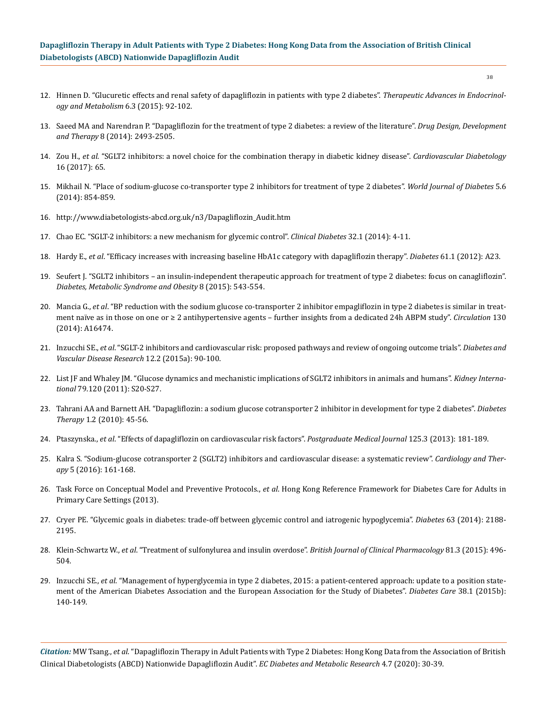- 12. [Hinnen D. "Glucuretic effects and renal safety of dapagliflozin in patients with type 2 diabetes".](https://www.ncbi.nlm.nih.gov/pmc/articles/PMC4480550/) *Therapeutic Advances in Endocrinol[ogy and Metabolism](https://www.ncbi.nlm.nih.gov/pmc/articles/PMC4480550/)* 6.3 (2015): 92-102.
- 13. [Saeed MA and Narendran P. "Dapagliflozin for the treatment of type 2 diabetes: a review of the literature".](https://www.ncbi.nlm.nih.gov/pmc/articles/PMC4267514/) *Drug Design, Development and Therapy* [8 \(2014\): 2493-2505.](https://www.ncbi.nlm.nih.gov/pmc/articles/PMC4267514/)
- 14. Zou H., *et al*[. "SGLT2 inhibitors: a novel choice for the combination therapy in diabetic kidney disease".](https://pubmed.ncbi.nlm.nih.gov/28511711/) *Cardiovascular Diabetology*  [16 \(2017\): 65.](https://pubmed.ncbi.nlm.nih.gov/28511711/)
- 15. [Mikhail N. "Place of sodium-glucose co-transporter type 2 inhibitors for treatment of type 2 diabetes".](https://pubmed.ncbi.nlm.nih.gov/25512787/) *World Journal of Diabetes* 5.6 [\(2014\): 854-859.](https://pubmed.ncbi.nlm.nih.gov/25512787/)
- 16. [http://www.diabetologists-abcd.org.uk/n3/Dapagliflozin\\_Audit.htm](http://www.diabetologists-abcd.org.uk/n3/Dapagliflozin_Audit.htm)
- 17. [Chao EC. "SGLT-2 inhibitors: a new mechanism for glycemic control".](https://www.ncbi.nlm.nih.gov/pmc/articles/PMC4521423/) *Clinical Diabetes* 32.1 (2014): 4-11.
- 18. Hardy E., *et al*. "Efficacy increases with increasing baseline HbA1c category with dapagliflozin therapy". *Diabetes* 61.1 (2012): A23.
- 19. [Seufert J. "SGLT2 inhibitors an insulin-independent therapeutic approach for treatment of type 2 diabetes: focus on canagliflozin".](https://www.ncbi.nlm.nih.gov/pmc/articles/PMC4644173/)  *[Diabetes, Metabolic Syndrome and Obesity](https://www.ncbi.nlm.nih.gov/pmc/articles/PMC4644173/)* 8 (2015): 543-554.
- 20. Mancia G., *et al*[. "BP reduction with the sodium glucose co-transporter 2 inhibitor empagliflozin in type 2 diabetes is similar in treat](https://www.researchgate.net/publication/276161033_BP_reduction_with_the_sodium_glucose_co-transporter_2_inhibitor_SGLT-2i_empagliflozin_EMPA_in_type_2_diabetes_T2D_is_similar_in_treatment_naive_as_in_those_on_one_or_2_antihypertensive_agents_-_furthe)[ment naïve as in those on one or ≥ 2 antihypertensive agents – further insights from a dedicated 24h ABPM study".](https://www.researchgate.net/publication/276161033_BP_reduction_with_the_sodium_glucose_co-transporter_2_inhibitor_SGLT-2i_empagliflozin_EMPA_in_type_2_diabetes_T2D_is_similar_in_treatment_naive_as_in_those_on_one_or_2_antihypertensive_agents_-_furthe) *Circulation* 130 [\(2014\): A16474.](https://www.researchgate.net/publication/276161033_BP_reduction_with_the_sodium_glucose_co-transporter_2_inhibitor_SGLT-2i_empagliflozin_EMPA_in_type_2_diabetes_T2D_is_similar_in_treatment_naive_as_in_those_on_one_or_2_antihypertensive_agents_-_furthe)
- 21. Inzucchi SE., *et al*[. "SGLT-2 inhibitors and cardiovascular risk: proposed pathways and review of ongoing outcome trials".](https://www.ncbi.nlm.nih.gov/pmc/articles/PMC4361459/) *Diabetes and [Vascular Disease Research](https://www.ncbi.nlm.nih.gov/pmc/articles/PMC4361459/)* 12.2 (2015a): 90-100.
- 22. [List JF and Whaley JM. "Glucose dynamics and mechanistic implications of SGLT2 inhibitors in animals and humans".](https://pubmed.ncbi.nlm.nih.gov/21358698/) *Kidney International* [79.120 \(2011\): S20-S27.](https://pubmed.ncbi.nlm.nih.gov/21358698/)
- 23. [Tahrani AA and Barnett AH. "Dapagliflozin: a sodium glucose cotransporter 2 inhibitor in development for type 2 diabetes".](https://www.ncbi.nlm.nih.gov/pmc/articles/PMC3138480/) *Diabetes Therapy* [1.2 \(2010\): 45-56.](https://www.ncbi.nlm.nih.gov/pmc/articles/PMC3138480/)
- 24. Ptaszynska., *et al*[. "Effects of dapagliflozin on cardiovascular risk factors".](https://www.researchgate.net/publication/237084303_Effects_of_Dapagliflozin_on_Cardiovascular_Risk_Factors) *Postgraduate Medical Journal* 125.3 (2013): 181-189.
- 25. [Kalra S. "Sodium-glucose cotransporter 2 \(SGLT2\) inhibitors and cardiovascular disease: a systematic review".](https://pubmed.ncbi.nlm.nih.gov/27539303/) *Cardiology and Therapy* [5 \(2016\): 161-168.](https://pubmed.ncbi.nlm.nih.gov/27539303/)
- 26. Task Force on Conceptual Model and Preventive Protocols., *et al*. Hong Kong Reference Framework for Diabetes Care for Adults in Primary Care Settings (2013).
- 27. [Cryer PE. "Glycemic goals in diabetes: trade-off between glycemic control and iatrogenic hypoglycemia".](https://diabetes.diabetesjournals.org/content/63/7/2188) *Diabetes* 63 (2014): 2188- [2195.](https://diabetes.diabetesjournals.org/content/63/7/2188)
- 28. Klein-Schwartz W., *et al*[. "Treatment of sulfonylurea and insulin overdose".](https://pubmed.ncbi.nlm.nih.gov/26551662/) *British Journal of Clinical Pharmacology* 81.3 (2015): 496- [504.](https://pubmed.ncbi.nlm.nih.gov/26551662/)
- 29. Inzucchi SE., *et al*[. "Management of hyperglycemia in type 2 diabetes, 2015: a patient-centered approach: update to a position state](https://care.diabetesjournals.org/content/38/1/140)[ment of the American Diabetes Association and the European Association for the Study of Diabetes".](https://care.diabetesjournals.org/content/38/1/140) *Diabetes Care* 38.1 (2015b): [140-149.](https://care.diabetesjournals.org/content/38/1/140)

*Citation:* MW Tsang., *et al*. "Dapagliflozin Therapy in Adult Patients with Type 2 Diabetes: Hong Kong Data from the Association of British Clinical Diabetologists (ABCD) Nationwide Dapagliflozin Audit". *EC Diabetes and Metabolic Research* 4.7 (2020): 30-39.